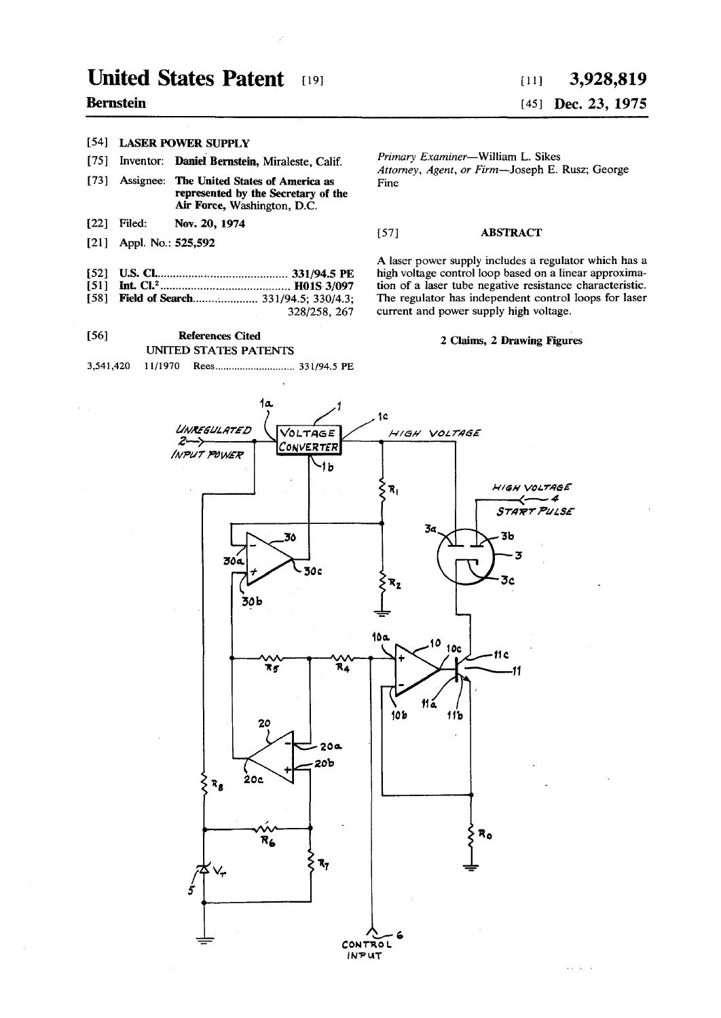## **United States Patent 191**

## **Bernstein**

## **[54] LASER POWER SUPPLY**

- **[75] Inventor: Daniel Bernstein, Miraleste, Calif.**
- **[73] Assignee: The United States of America as represented by the Secretary of the Air Force, Washington, D.C.**
- **[22] Filed: Nov. 20, 1974**
- **[21] Appl. No.: 525,592**
- [52] U.S. Cl. (1994.5 PE)<br> **[51]** Int. Cl.<sup>2</sup> (1997.1998.1997.1991.5 PE)
- **[51] Int. CI.<sup>2</sup> HOIS 3/097**
- [58] **Field of Search.....................** 331/94.5; 330/4.3; **328/258, 267**

**[56] References Cited** 

**UNITED STATES PATENTS** 

**3,541,420 11/1970 Rees 331/94.5 PE** 

# **[ii] 3,928,819**

## [45] **Dec. 23, 1975**

*Primary Examiner***—William L. Sikes**  *Attorney, Agent, or Firm***—Joseph E. Rusz; George Fine** 

#### **[57] ABSTRACT**

**A laser power supply includes a regulator which has a high voltage control loop based on a linear approximation of a laser tube negative resistance characteristic. The regulator has independent control loops for laser current and power supply high voltage.** 

#### **2 Claims, 2 Drawing Figures**

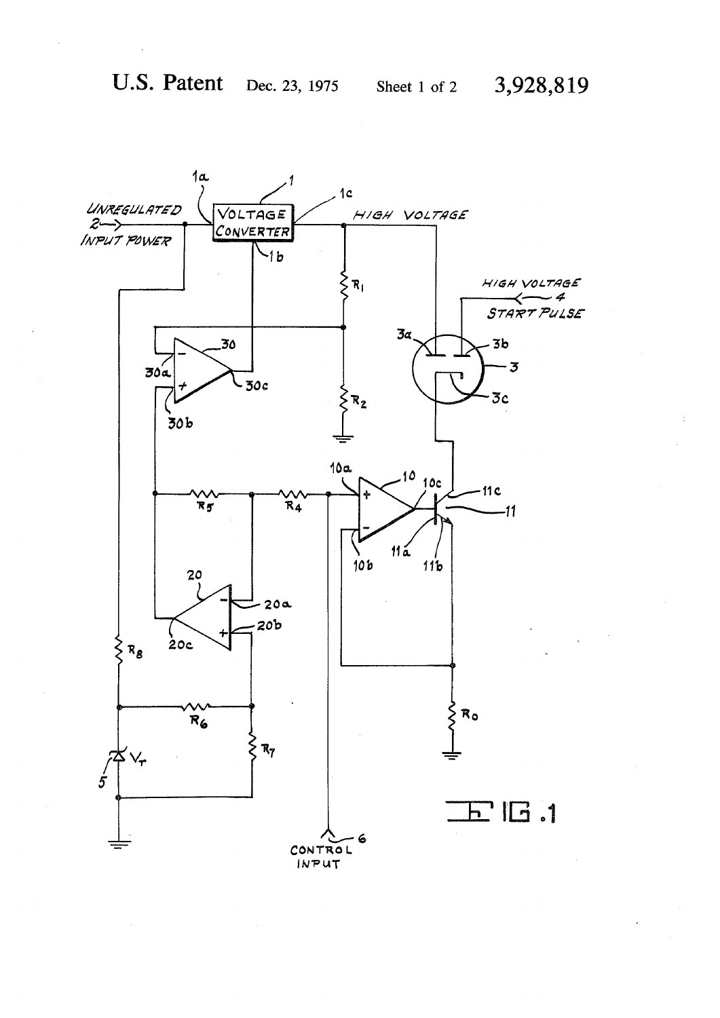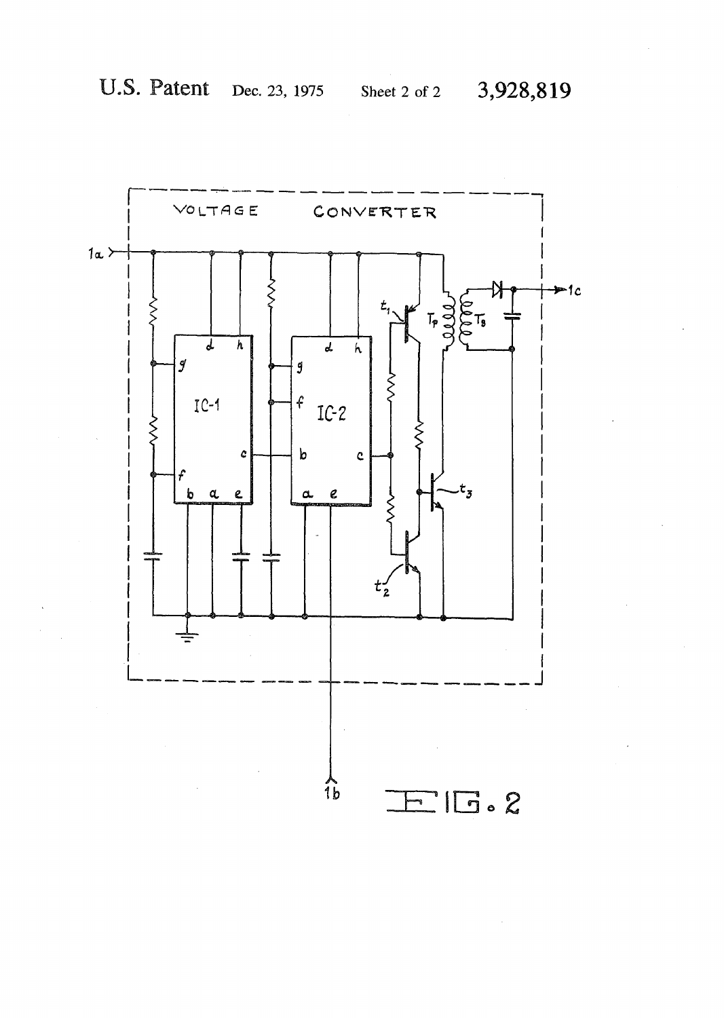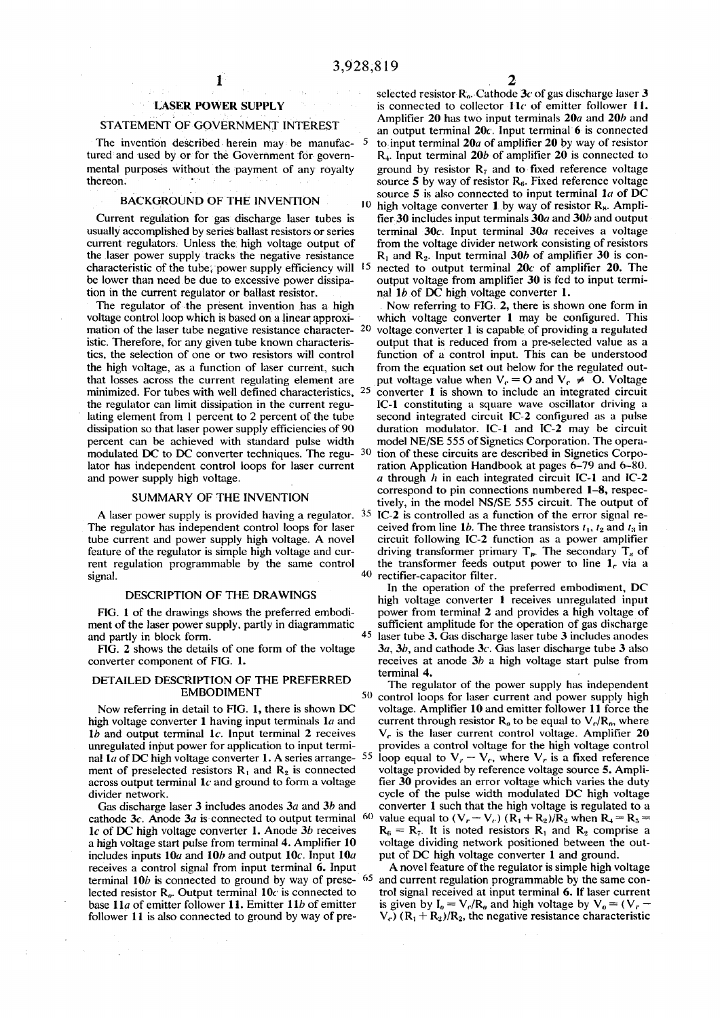#### **LASER POWER SUPPLY**

#### **STATEMENT OF GOVERNMENT INTEREST**

**The invention described herein may be manufac- 5 tured and used by or for the Government for governmental purposes without the payment of any royalty thereon. •** 

### **BACKGROUND OF THE INVENTION ) <sup>c</sup>**

**Current regulation for gas discharge laser tubes is usually accomplished by series ballast resistors or series current regulators. Unless the: high voltage output of the laser power supply tracks the negative resistance characteristic of the tube; power supply efficiency will 15 be lower than need be due to excessive power dissipation in the current regulator or ballast resistor.** 

**The regulator of the present invention has a high voltage control loop which is based on a linear approximation of the laser tube negative resistance character- 2 0 istic. Therefore, for any given tube known characteristics, the selection of one or two resistors will control the high voltage, as a function of laser current, such that losses across the current regulating element are minimized. For tubes with well defined characteristics, 2 5 the regulator can limit dissipation in the current regulating element from 1 percent to 2 percent of the tube dissipation so that laser power supply efficiencies of 90 percent can be achieved with standard pulse width lator has independent control loops for laser current and power supply high voltage.** 

#### **SUMMARY OF THE INVENTION**

**A laser power supply is provided having a regulator. 3 5 The regulator has independent control loops for laser tube current and power supply high voltage. A novel feature of the regulator is simple high voltage and current regulation programmable by the same control signal. 40** 

#### **DESCRIPTION OF THE DRAWINGS**

**FIG. 1 of the drawings shows the preferred embodiment of the laser power supply, partly in diagrammatic and partly in block form. 4 5** 

**FIG. 2 shows the details of one form of the voltage converter component of FIG. 1.** 

#### **DETAILED DESCRIPTION OF THE PREFERRED EMBODIMENT<sup>5</sup> <sup>0</sup>**

**Now referring in detail to FIG. 1, there is shown DC**  high voltage converter 1 having input terminals 1*a* and *lb* **and output terminal lc. Input terminal 2 receives unregulated input power for application to input termi**nal 1*a* of DC high voltage converter 1. A series arrange- **5 5**  ment of preselected resistors  $R_1$  and  $R_2$  is connected **across output terminal** *lc* **and ground to form a voltage divider network.** 

**Gas discharge laser 3 includes anodes** *3a* **and 3***b* **and cathode 3c. Anode 3a is connected to output terminal 6 0**  *lc* **of DC high voltage converter 1. Anode** *3b* **receives a high voltage start pulse from terminal 4. Amplifier 10 includes inputs 10a and 10b and output 10c. Input 10a receives a control signal from input terminal 6. Input terminal 10b is connected to ground by way of prese- 6 5**  lected resistor  $R_{\theta}$ . Output terminal 10c is connected to **base 11a of emitter follower 11. Emitter** *lib* **of emitter follower 11 is also connected to ground by way of pre-**

**selected resistor R;,. Cathode** *3c* **of gas discharge laser 3**  is connected to collector 11<sup>c</sup> of emitter follower 11. **Amplifier 20 has two input terminals 20a and 20b and an output terminal 20c. Input terminal 6 is connected to input terminal 20a of amplifier 20 by way of resistor R4. Input terminal 20b of amplifier 20 is connected to ground by resistor R7 and to fixed reference voltage**  source 5 by way of resistor R<sub>6</sub>. Fixed reference voltage **source 5 is also connected to input terminal** *la* **of DC**  <sup>10</sup> high voltage converter 1 by way of resistor R<sub>\*</sub>. Ampli**fier 30 includes input terminals 30a and 30b and output terminal 30c-. Input terminal 30a receives a voltage from the voltage divider network consisting of resistors R, and R2. Input terminal 30b of amplifier 30 is connected to output terminal 20c of amplifier 20. The output voltage from amplifier 30 is fed to input termi**nal 1*b* of DC high voltage converter 1.

**modulated DC** to DC converter techniques. The regu- <sup>30</sup> tion of these circuits are described in Signetics Corpo-**Now referring to FIG. 2, there is shown one form in which voltage converter 1 may be configured. This voltage converter 1 is capable of providing a regulated output that is reduced from a pre-selected value as a function of a control input. This can be understood from the equation set out below for the regulated out**put voltage value when  $V_c = O$  and  $V_c \neq O$ . Voltage **converter 1 is shown to include an integrated circuit IC-1 constituting a square wave oscillator driving a second integrated circuit IC-2 configured as a pulse duration modulator. IC-1 and IC-2 may be circuit model NE/SE 555 of Signetics Corporation. The operaration Application Handbook at pages 6-79 and 6-80.**  *a* **through** *h* **in each integrated circuit IC-1 and IC-2 correspond to pin connections numbered 1-8, respectively, in the model NS/SE 555 circuit. The output of IC-2 is controlled as a function of the error signal re**ceived from line 1*b*. The three transistors  $t_1$ ,  $t_2$  and  $t_3$  in **circuit following IC-2 function as a power amplifier**  driving transformer primary  $T_p$ . The secondary  $T_s$  of the transformer feeds output power to line 1<sub>c</sub> via a **rectifier-capacitor filter.** 

**In the operation of the preferred embodiment, DC high voltage converter 1 receives unregulated input power from terminal 2 and provides a high voltage of sufficient amplitude for the operation of gas discharge laser tube 3. Gas discharge laser tube 3 includes anodes**  *3a, 3b,* **and cathode 3c. Gas laser discharge tube 3 also receives at anode** *3b* **a high voltage start pulse from terminal 4.** 

**The regulator of the power supply has independent control loops for laser current and power supply high voltage. Amplifier 10 and emitter follower 11 force the**  current through resistor  $R_0$  to be equal to  $V_c/R_o$ , where **V,. is the laser current control voltage. Amplifier 20 provides a control voltage for the high voltage control**  loop equal to  $V_r - V_c$ , where  $V_r$  is a fixed reference **voltage provided by reference voltage source 5. Amplifier 30 provides an error voltage which varies the duty cycle of the pulse width modulated DC high voltage converter 1 such that the high voltage is regulated to a value equal to**  $(V_r - V_c)$  $(R_1 + R_2)/R_2$  **when**  $R_4 = R_5 =$  $R_6 = R_7$ . It is noted resistors  $R_1$  and  $R_2$  comprise a **voltage dividing network positioned between the output of DC high voltage converter 1 and ground.** 

**A novel feature of the regulator is simple high voltage and current regulation programmable by the same control signal received at input terminal 6. If laser current**  is given by  $I_0 = V_c/R_a$  and high voltage by  $V_0 = (V_r V_c$ ) ( $R_1 + R_2$ )/ $R_2$ , the negative resistance characteristic